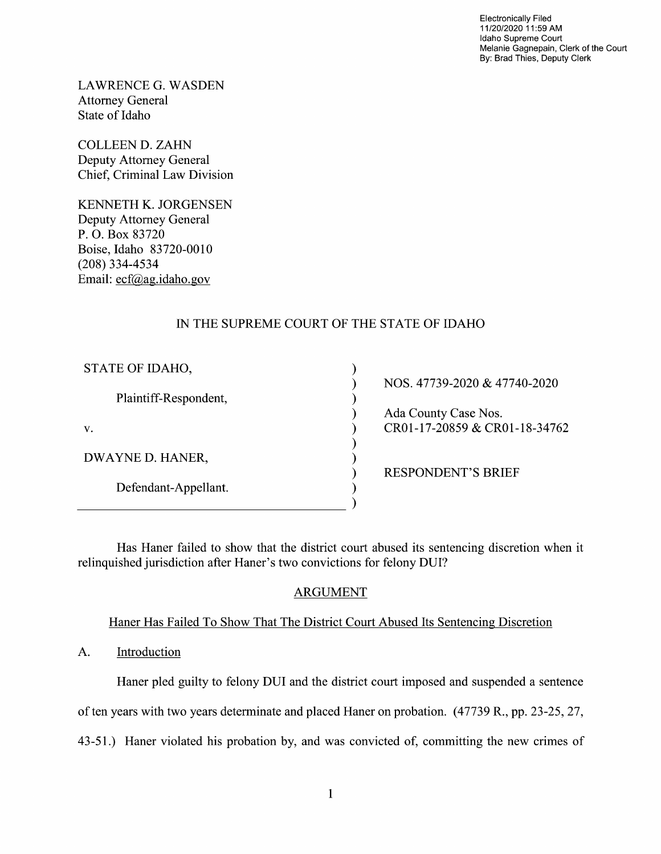Electronically Filed 11/20/2020 11:59 AM Idaho Supreme Court Melanie Gagnepain, Clerk of the Court By: Brad Thies, Deputy Clerk

LAWRENCE G.WASDEN Attorney General State 0f Idaho

COLLEEN D. ZAHN Deputy Attorney General Chief, Criminal Law Division

KENNETH K. JORGENSEN Deputy Attorney General P. O. Box 83720 Boise, Idaho 83720-00 (208) 334-4534 Email: ecf@ag.idaho.gov

# IN THE SUPREME COURT OF THE STATE OF IDAHO

| STATE OF IDAHO,       |  |
|-----------------------|--|
| Plaintiff-Respondent, |  |
| V.                    |  |
| DWAYNE D. HANER,      |  |
| Defendant-Appellant.  |  |
|                       |  |

NOS. 47739-2020 & 47740-2020 Ada County Case Nos. CR01-17-20859 & CR01-18-34762

RESPONDENT'S BRIEF

Has Haner failed to show that the district court abused its sentencing discretion when it relinquished jurisdiction after Haner's two convictions for felony DUI?

## ARGUMENT

Haner Has Failed To Show That The District Court Abused Its Sentencing Discretion

A. Introduction

Haner pled guilty to felony DUI and the district court imposed and suspended a sentence

of ten years With two years determinate and placed Haner 0n probation. (47739 R., pp. 23-25, 27,

43-51.) Haner violated his probation by, and was convicted of, committing the new crimes of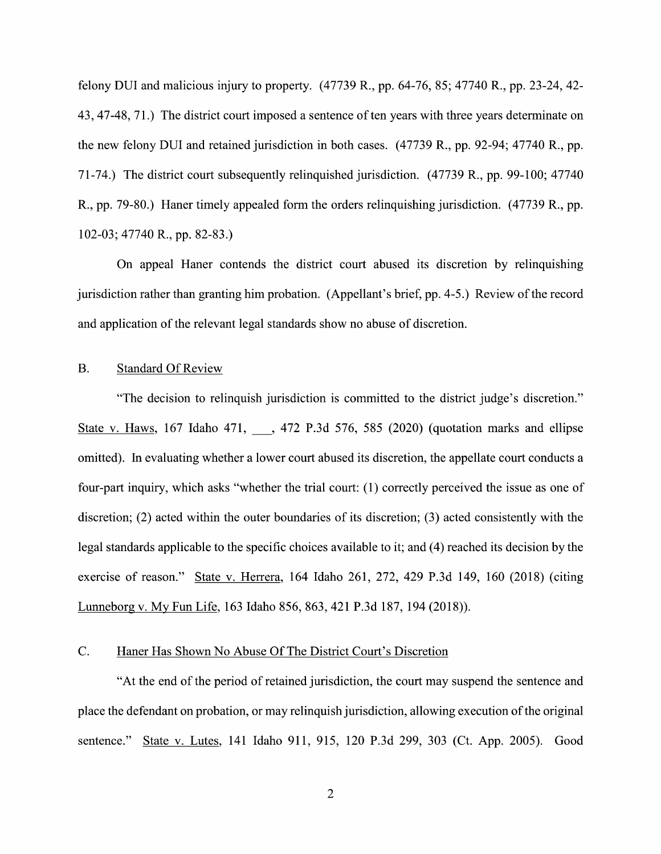felony DUI and malicious injury to property.  $(47739 \text{ R}., \text{ pp. } 64-76, 85; 47740 \text{ R}., \text{ pp. } 23-24, 42-$ 43, 47-48, 71.) The district court imposed a sentence of ten years with three years determinate on the new felony DUI and retained jurisdiction in both cases. (47739 R., pp. 92-94; 47740 R., pp. 71-74.) The district court subsequently relinquished jurisdiction. (47739 R., pp. 99-100; 47740 R., pp. 79-80.) Haner timely appealed form the orders relinquishing jurisdiction. (47739 R., pp. 102-03; 47740 R., pp. 82-83.)

On appeal Haner contends the district court abused its discretion by relinquishing jurisdiction rather than granting him probation. (Appellant's brief, pp. 4-5.) Review 0f the record and application of the relevant legal standards show no abuse of discretion.

### B. Standard Of Review

"The decision to relinquish jurisdiction is committed to the district judge's discretion." State v. Haws, 167 Idaho 471, ., 472 P.3d 576, 585 (2020) (quotation marks and ellipse omitted). In evaluating whether a lower court abused its discretion, the appellate court conducts a four-part inquiry, which asks "whether the trial court: (1) correctly perceived the issue as one of discretion; (2) acted within the outer boundaries of its discretion; (3) acted consistently with the legal standards applicable to the specific choices available to it; and (4) reached its decision by the exercise of reason." State V. Herrera, 164 Idaho 261, 272, 429 P.3d 149, 160 (2018) (citing Lunneborg V. MV Fun Life, <sup>163</sup> Idaho 856, 863, <sup>421</sup> P.3d 187, <sup>194</sup> (2018)).

### C. Haner Has Shown No Abuse Of The District Court's Discretion

"At the end of the period of retained jurisdiction, the court may suspend the sentence and place the defendant on probation, 0r may relinquish jurisdiction, allowing execution of the original sentence." State v. Lutes, 141 Idaho 911, 915, 120 P.3d 299, 303 (Ct. App. 2005). Good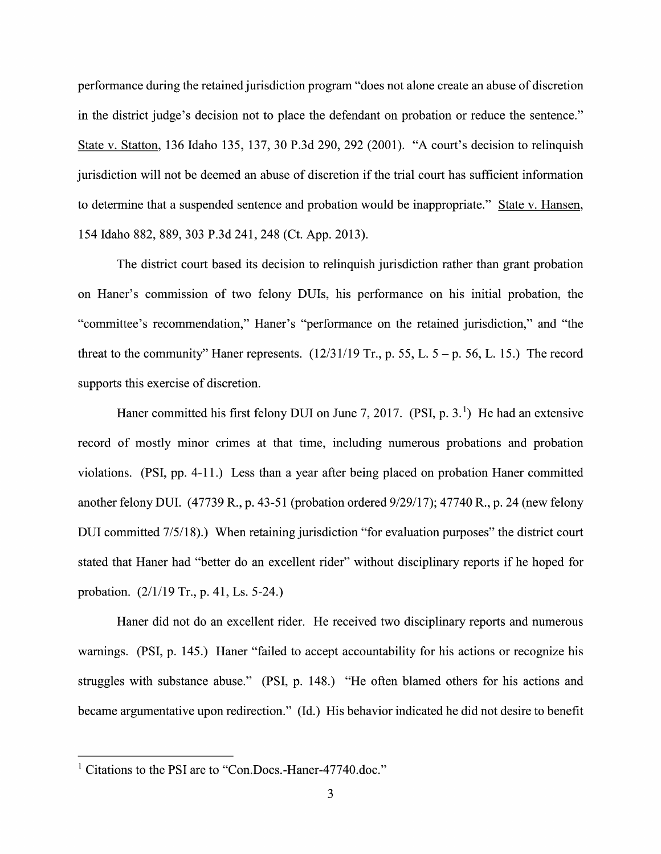performance during the retained jurisdiction program "does not alone create an abuse of discretion in the district judge's decision not to place the defendant on probation or reduce the sentence." State V. Statton, <sup>136</sup> Idaho 135, 137, 3O P.3d 290, <sup>292</sup> (2001). "A court's decision to relinquish jurisdiction will not be deemed an abuse of discretion if the trial court has sufficient information to determine that a suspended sentence and probation would be inappropriate." State v. Hansen, 154 Idaho 882, 889, 303 P.3d 241, 248 (Ct. App. 2013).

The district court based its decision to relinquish jurisdiction rather than grant probation 0n Haner's commission of two felony DUIs, his performance on his initial probation, the "committee's recommendation," Haner's "performance 0n the retained jurisdiction," and "the threat to the community" Haner represents.  $(12/31/19 \text{ Tr.}, p. 55, L. 5 - p. 56, L. 15.)$  The record supports this exercise of discretion.

Haner committed his first felony DUI on June 7, 2017. (PSI, p. 3.<sup>1</sup>) He had an extensive record of mostly minor crimes at that time, including numerous probations and probation violations.  $(PSI, pp. 4-11.)$  Less than a year after being placed on probation Haner committed another felony DUI. (47739 R., p. 43-51 (probation ordered 9/29/17); 47740 R., p. 24 (new felony DUI committed 7/5/18).) When retaining jurisdiction "for evaluation purposes" the district court stated that Haner had "better do an excellent rider" Without disciplinary reports if he hoped for probation. (2/1/19 Tr., p. 41, Ls. 5-24.)

Haner did not do an excellent rider. He received two disciplinary reports and numerous warnings. (PSI, p. 145.) Haner "failed to accept accountability for his actions or recognize his struggles With substance abuse." (PSI, p. 148.) "He often blamed others for his actions and became argumentative upon redirection." (Id.) His behavior indicated he did not desire to benefit

<sup>&</sup>lt;sup>1</sup> Citations to the PSI are to "Con.Docs.-Haner-47740.doc."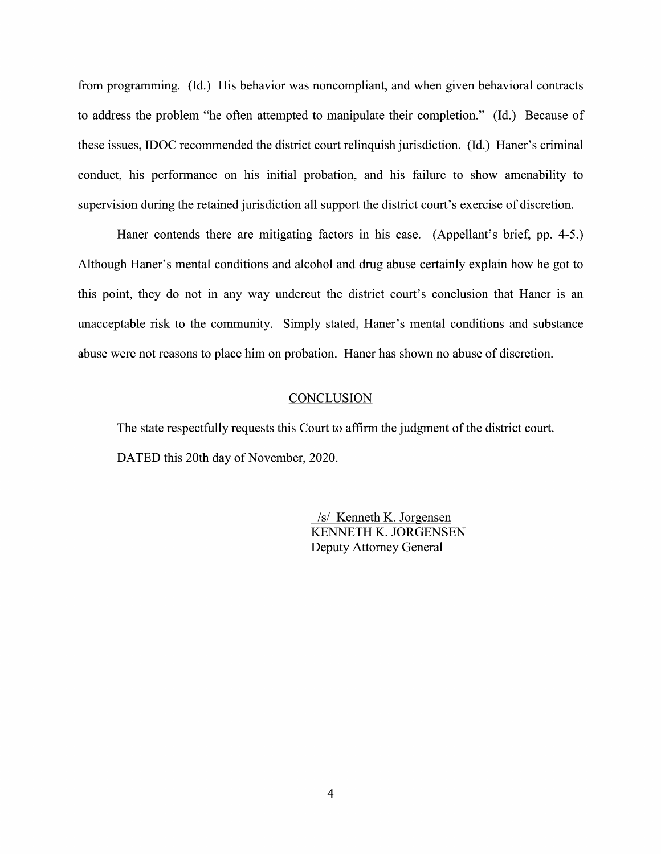from programming. (Id.) His behavior was noncompliant, and when given behavioral contracts to address the problem "he often attempted to manipulate their completion." (Id.) Because of these issues, IDOC recommended the district court relinquish jurisdiction. (Id.) Haner's criminal conduct, his performance on his initial probation, and his failure to show amenability to supervision during the retained jurisdiction all support the district court's exercise of discretion.

Haner contends there are mitigating factors in his case. (Appellant's brief, pp. 4-5.) Although Haner's mental conditions and alcohol and drug abuse certainly explain how he got to this point, they do not in any way undercut the district court's conclusion that Haner is an unacceptable risk to the community. Simply stated, Haner's mental conditions and substance abuse were not reasons to place him on probation. Haner has shown no abuse of discretion.

#### **CONCLUSION**

The state respectfully requests this Court to affirm the judgment of the district court. DATED this 20th day of November, 2020.

> /s/ Kenneth K. Jorgensen KENNETH K. JORGENSEN Deputy Attorney General